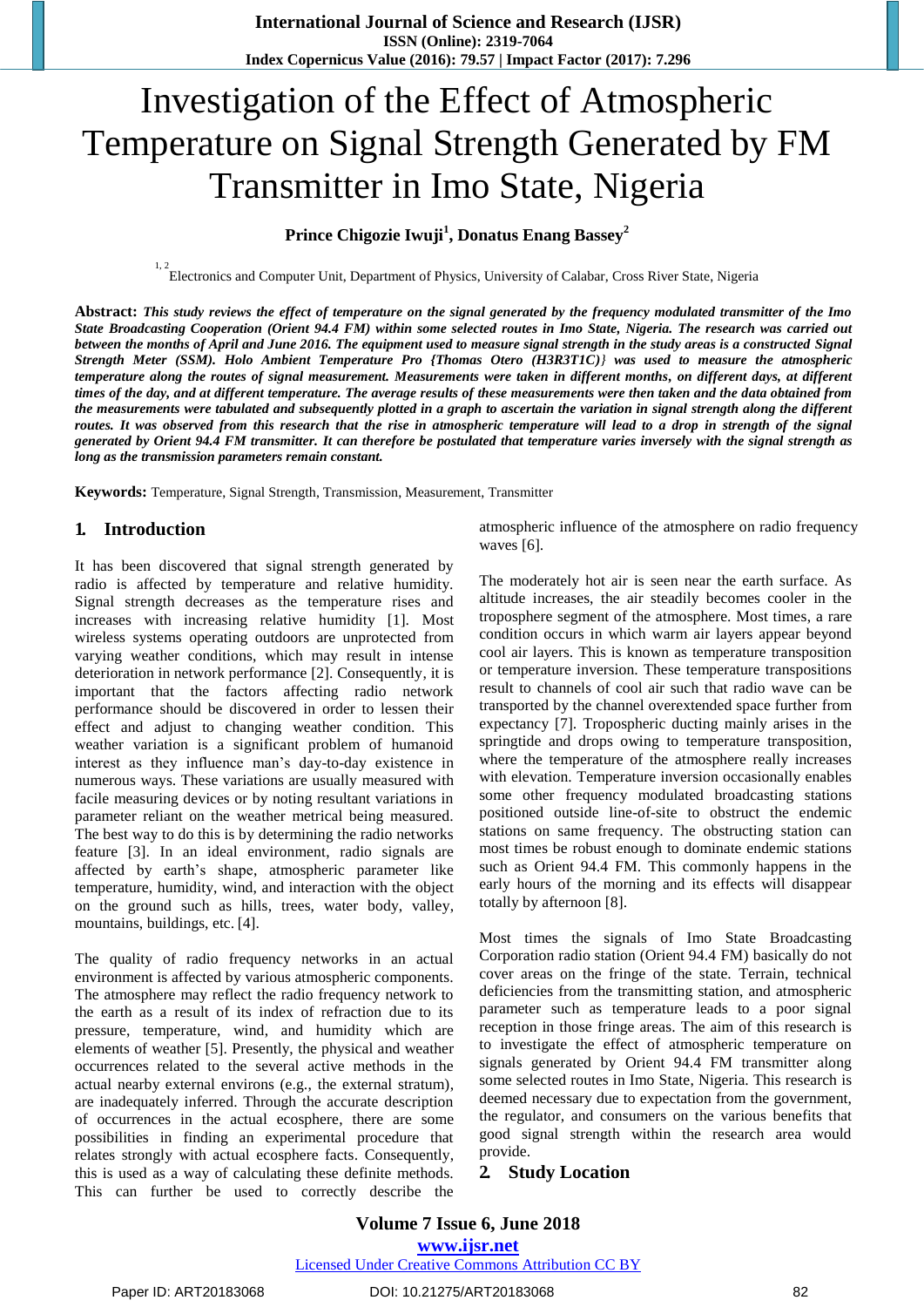# Investigation of the Effect of Atmospheric Temperature on Signal Strength Generated by FM Transmitter in Imo State, Nigeria

## **Prince Chigozie Iwuji<sup>1</sup> , Donatus Enang Bassey<sup>2</sup>**

1, 2<br>Electronics and Computer Unit, Department of Physics, University of Calabar, Cross River State, Nigeria

**Abstract:** *This study reviews the effect of temperature on the signal generated by the frequency modulated transmitter of the Imo State Broadcasting Cooperation (Orient 94.4 FM) within some selected routes in Imo State, Nigeria. The research was carried out between the months of April and June 2016. The equipment used to measure signal strength in the study areas is a constructed Signal Strength Meter (SSM). Holo Ambient Temperature Pro {Thomas Otero (H3R3T1C)} was used to measure the atmospheric temperature along the routes of signal measurement. Measurements were taken in different months, on different days, at different times of the day, and at different temperature. The average results of these measurements were then taken and the data obtained from the measurements were tabulated and subsequently plotted in a graph to ascertain the variation in signal strength along the different routes. It was observed from this research that the rise in atmospheric temperature will lead to a drop in strength of the signal generated by Orient 94.4 FM transmitter. It can therefore be postulated that temperature varies inversely with the signal strength as long as the transmission parameters remain constant.*

**Keywords:** Temperature, Signal Strength, Transmission, Measurement, Transmitter

## **1. Introduction**

It has been discovered that signal strength generated by radio is affected by temperature and relative humidity. Signal strength decreases as the temperature rises and increases with increasing relative humidity [1]. Most wireless systems operating outdoors are unprotected from varying weather conditions, which may result in intense deterioration in network performance [2]. Consequently, it is important that the factors affecting radio network performance should be discovered in order to lessen their effect and adjust to changing weather condition. This weather variation is a significant problem of humanoid interest as they influence man's day-to-day existence in numerous ways. These variations are usually measured with facile measuring devices or by noting resultant variations in parameter reliant on the weather metrical being measured. The best way to do this is by determining the radio networks feature [3]. In an ideal environment, radio signals are affected by earth's shape, atmospheric parameter like temperature, humidity, wind, and interaction with the object on the ground such as hills, trees, water body, valley, mountains, buildings, etc. [4].

The quality of radio frequency networks in an actual environment is affected by various atmospheric components. The atmosphere may reflect the radio frequency network to the earth as a result of its index of refraction due to its pressure, temperature, wind, and humidity which are elements of weather [5]. Presently, the physical and weather occurrences related to the several active methods in the actual nearby external environs (e.g., the external stratum), are inadequately inferred. Through the accurate description of occurrences in the actual ecosphere, there are some possibilities in finding an experimental procedure that relates strongly with actual ecosphere facts. Consequently, this is used as a way of calculating these definite methods. This can further be used to correctly describe the atmospheric influence of the atmosphere on radio frequency waves [6].

The moderately hot air is seen near the earth surface. As altitude increases, the air steadily becomes cooler in the troposphere segment of the atmosphere. Most times, a rare condition occurs in which warm air layers appear beyond cool air layers. This is known as temperature transposition or temperature inversion. These temperature transpositions result to channels of cool air such that radio wave can be transported by the channel overextended space further from expectancy [7]. Tropospheric ducting mainly arises in the springtide and drops owing to temperature transposition, where the temperature of the atmosphere really increases with elevation. Temperature inversion occasionally enables some other frequency modulated broadcasting stations positioned outside line-of-site to obstruct the endemic stations on same frequency. The obstructing station can most times be robust enough to dominate endemic stations such as Orient 94.4 FM. This commonly happens in the early hours of the morning and its effects will disappear totally by afternoon [8].

Most times the signals of Imo State Broadcasting Corporation radio station (Orient 94.4 FM) basically do not cover areas on the fringe of the state. Terrain, technical deficiencies from the transmitting station, and atmospheric parameter such as temperature leads to a poor signal reception in those fringe areas. The aim of this research is to investigate the effect of atmospheric temperature on signals generated by Orient 94.4 FM transmitter along some selected routes in Imo State, Nigeria. This research is deemed necessary due to expectation from the government, the regulator, and consumers on the various benefits that good signal strength within the research area would provide.

#### **2. Study Location**

#### **Volume 7 Issue 6, June 2018 www.ijsr.net** Licensed Under Creative Commons Attribution CC BY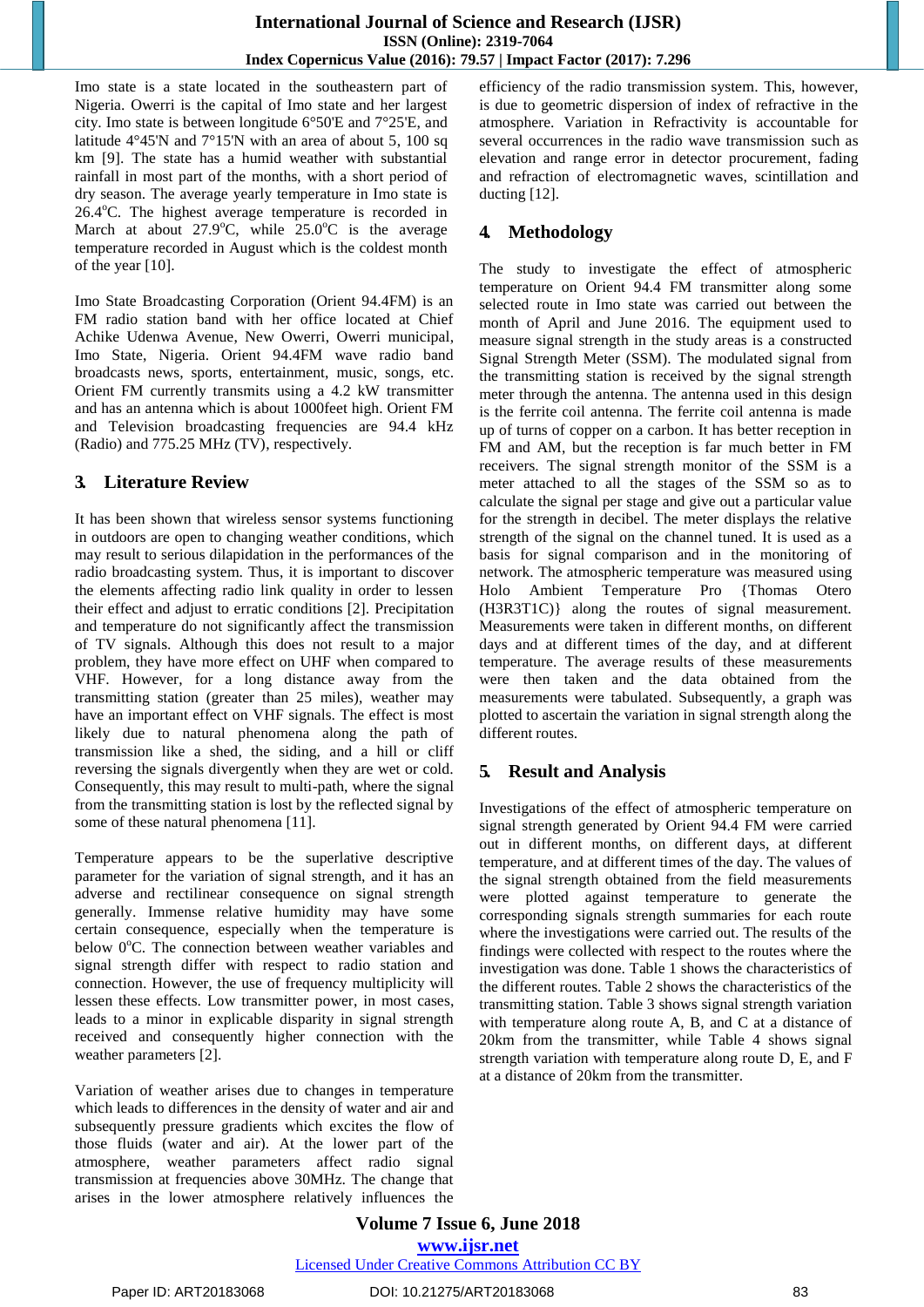Imo state is a state located in the southeastern part of Nigeria. Owerri is the capital of Imo state and her largest city. Imo state is between longitude 6°50'E and 7°25'E, and latitude 4°45'N and 7°15'N with an area of about 5, 100 sq km [9]. The state has a humid weather with substantial rainfall in most part of the months, with a short period of dry season. The average yearly temperature in Imo state is  $26.4^{\circ}$ C. The highest average temperature is recorded in March at about  $27.9^{\circ}$ C, while  $25.0^{\circ}$ C is the average temperature recorded in August which is the coldest month of the year [10].

Imo State Broadcasting Corporation (Orient 94.4FM) is an FM radio station band with her office located at Chief Achike Udenwa Avenue, New Owerri, Owerri municipal, Imo State, Nigeria. Orient 94.4FM wave radio band broadcasts news, sports, entertainment, music, songs, etc. Orient FM currently transmits using a 4.2 kW transmitter and has an antenna which is about 1000feet high. Orient FM and Television broadcasting frequencies are 94.4 kHz (Radio) and 775.25 MHz (TV), respectively.

# **3. Literature Review**

It has been shown that wireless sensor systems functioning in outdoors are open to changing weather conditions, which may result to serious dilapidation in the performances of the radio broadcasting system. Thus, it is important to discover the elements affecting radio link quality in order to lessen their effect and adjust to erratic conditions [2]. Precipitation and temperature do not significantly affect the transmission of TV signals. Although this does not result to a major problem, they have more effect on UHF when compared to VHF. However, for a long distance away from the transmitting station (greater than 25 miles), weather may have an important effect on VHF signals. The effect is most likely due to natural phenomena along the path of transmission like a shed, the siding, and a hill or cliff reversing the signals divergently when they are wet or cold. Consequently, this may result to multi-path, where the signal from the transmitting station is lost by the reflected signal by some of these natural phenomena [11].

Temperature appears to be the superlative descriptive parameter for the variation of signal strength, and it has an adverse and rectilinear consequence on signal strength generally. Immense relative humidity may have some certain consequence, especially when the temperature is below  $0^{\circ}$ C. The connection between weather variables and signal strength differ with respect to radio station and connection. However, the use of frequency multiplicity will lessen these effects. Low transmitter power, in most cases, leads to a minor in explicable disparity in signal strength received and consequently higher connection with the weather parameters [2].

Variation of weather arises due to changes in temperature which leads to differences in the density of water and air and subsequently pressure gradients which excites the flow of those fluids (water and air). At the lower part of the atmosphere, weather parameters affect radio signal transmission at frequencies above 30MHz. The change that arises in the lower atmosphere relatively influences the

efficiency of the radio transmission system. This, however, is due to geometric dispersion of index of refractive in the atmosphere. Variation in Refractivity is accountable for several occurrences in the radio wave transmission such as elevation and range error in detector procurement, fading and refraction of electromagnetic waves, scintillation and ducting [12].

# **4. Methodology**

The study to investigate the effect of atmospheric temperature on Orient 94.4 FM transmitter along some selected route in Imo state was carried out between the month of April and June 2016. The equipment used to measure signal strength in the study areas is a constructed Signal Strength Meter (SSM). The modulated signal from the transmitting station is received by the signal strength meter through the antenna. The antenna used in this design is the ferrite coil antenna. The ferrite coil antenna is made up of turns of copper on a carbon. It has better reception in FM and AM, but the reception is far much better in FM receivers. The signal strength monitor of the SSM is a meter attached to all the stages of the SSM so as to calculate the signal per stage and give out a particular value for the strength in decibel. The meter displays the relative strength of the signal on the channel tuned. It is used as a basis for signal comparison and in the monitoring of network. The atmospheric temperature was measured using Holo Ambient Temperature Pro {Thomas Otero (H3R3T1C)} along the routes of signal measurement. Measurements were taken in different months, on different days and at different times of the day, and at different temperature. The average results of these measurements were then taken and the data obtained from the measurements were tabulated. Subsequently, a graph was plotted to ascertain the variation in signal strength along the different routes.

# **5. Result and Analysis**

Investigations of the effect of atmospheric temperature on signal strength generated by Orient 94.4 FM were carried out in different months, on different days, at different temperature, and at different times of the day. The values of the signal strength obtained from the field measurements were plotted against temperature to generate the corresponding signals strength summaries for each route where the investigations were carried out. The results of the findings were collected with respect to the routes where the investigation was done. Table 1 shows the characteristics of the different routes. Table 2 shows the characteristics of the transmitting station. Table 3 shows signal strength variation with temperature along route A, B, and C at a distance of 20km from the transmitter, while Table 4 shows signal strength variation with temperature along route D, E, and F at a distance of 20km from the transmitter.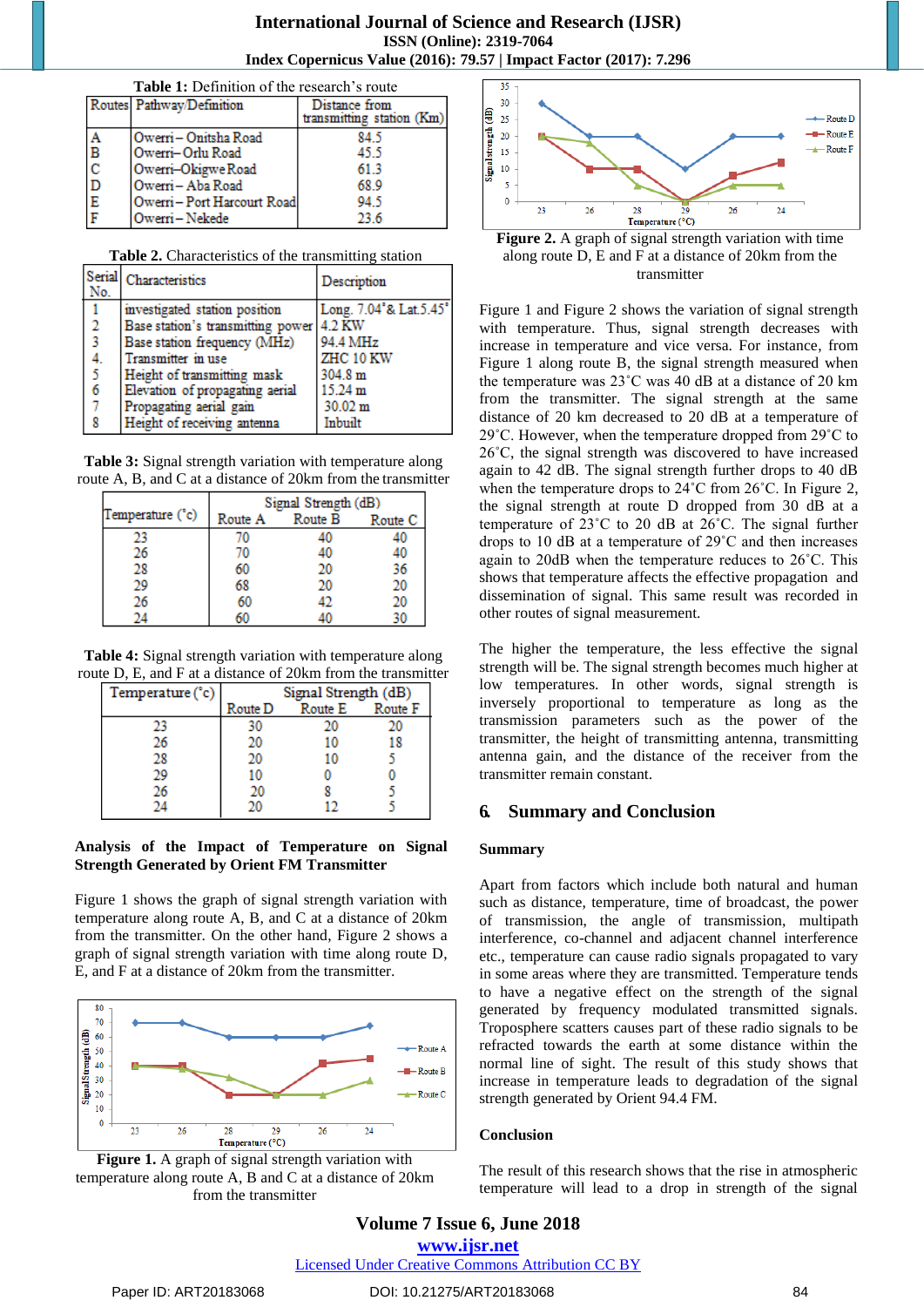#### **International Journal of Science and Research (IJSR) ISSN (Online): 2319-7064 Index Copernicus Value (2016): 79.57 | Impact Factor (2017): 7.296**

| Table 1: Definition of the research's route |                           |                                            |  |  |
|---------------------------------------------|---------------------------|--------------------------------------------|--|--|
|                                             | Routes Pathway/Definition | Distance from<br>transmitting station (Km) |  |  |
| Α                                           | IOwerri – Onitsha Road    | 84.5                                       |  |  |
| $\frac{1}{2}$                               | Owerri–Orlu Road          | 45.5                                       |  |  |
|                                             | Owerri-Okigwe Road        | 613                                        |  |  |
| D                                           | Owerri-Aba Road           | 68.9                                       |  |  |
| $\overline{E}$                              | Owerri-Port Harcourt Road | 94.5                                       |  |  |
|                                             | Owerri-Nekede             | 23.6                                       |  |  |

| Table 2. Characteristics of the transmitting station |  |
|------------------------------------------------------|--|
|------------------------------------------------------|--|

| No.                     | Serial Characteristics                   | Description            |
|-------------------------|------------------------------------------|------------------------|
|                         | investigated station position            | Long. 7.04°& Lat.5.45° |
| $\overline{2}$          | Base station's transmitting power 4.2 KW |                        |
| $\overline{\mathbf{3}}$ | Base station frequency (MHz)             | 94.4 MHz               |
| 4.                      | Transmitter in use                       | ZHC 10 KW              |
| $\overline{5}$          | Height of transmitting mask              | 304.8 m                |
| 6                       | Elevation of propagating aerial          | 15.24 m                |
| 7                       | Propagating aerial gain                  | 30.02 m                |
| 8                       | Height of receiving antenna              | Inbuilt                |

**Table 3:** Signal strength variation with temperature along route A, B, and C at a distance of 20km from the transmitter

|                  | Signal Strength (dB) |         |         |
|------------------|----------------------|---------|---------|
| Temperature (°c) | Route A              | Route B | Route C |
| 23               | 70                   | 40      | 40      |
| 26               | 70                   | 40      | 40      |
| 28               | 60                   | 20      | 36      |
| 29               | 68                   | 20      | 20      |
| 26               | 60                   | 49      | 20      |
|                  | 60                   |         | 40      |

**Table 4:** Signal strength variation with temperature along route D, E, and F at a distance of 20km from the transmitter

| Temperature (°c) | Signal Strength (dB) |         |         |
|------------------|----------------------|---------|---------|
|                  | Route D              | Route E | Route F |
| 23               | 30                   | 20      | 20      |
| 26               | 20                   | 10      | 18      |
| 28               | 20                   | 10      |         |
| 29               | 10                   |         |         |
| 26               | 20                   |         |         |
|                  | ንስ                   |         |         |

#### **Analysis of the Impact of Temperature on Signal Strength Generated by Orient FM Transmitter**

Figure 1 shows the graph of signal strength variation with temperature along route A, B, and C at a distance of 20km from the transmitter. On the other hand, Figure 2 shows a graph of signal strength variation with time along route D, E, and F at a distance of 20km from the transmitter.







**Figure 2.** A graph of signal strength variation with time along route D, E and F at a distance of 20km from the transmitter

Figure 1 and Figure 2 shows the variation of signal strength with temperature. Thus, signal strength decreases with increase in temperature and vice versa. For instance, from Figure 1 along route B, the signal strength measured when the temperature was 23˚C was 40 dB at a distance of 20 km from the transmitter. The signal strength at the same distance of 20 km decreased to 20 dB at a temperature of 29˚C. However, when the temperature dropped from 29˚C to 26˚C, the signal strength was discovered to have increased again to 42 dB. The signal strength further drops to 40 dB when the temperature drops to 24˚C from 26˚C. In Figure 2, the signal strength at route D dropped from 30 dB at a temperature of 23˚C to 20 dB at 26˚C. The signal further drops to 10 dB at a temperature of 29˚C and then increases again to 20dB when the temperature reduces to 26˚C. This shows that temperature affects the effective propagation and dissemination of signal. This same result was recorded in other routes of signal measurement.

The higher the temperature, the less effective the signal strength will be. The signal strength becomes much higher at low temperatures. In other words, signal strength is inversely proportional to temperature as long as the transmission parameters such as the power of the transmitter, the height of transmitting antenna, transmitting antenna gain, and the distance of the receiver from the transmitter remain constant.

#### **6. Summary and Conclusion**

#### **Summary**

Apart from factors which include both natural and human such as distance, temperature, time of broadcast, the power of transmission, the angle of transmission, multipath interference, co-channel and adjacent channel interference etc., temperature can cause radio signals propagated to vary in some areas where they are transmitted. Temperature tends to have a negative effect on the strength of the signal generated by frequency modulated transmitted signals. Troposphere scatters causes part of these radio signals to be refracted towards the earth at some distance within the normal line of sight. The result of this study shows that increase in temperature leads to degradation of the signal strength generated by Orient 94.4 FM.

#### **Conclusion**

The result of this research shows that the rise in atmospheric temperature will lead to a drop in strength of the signal

Licensed Under Creative Commons Attribution CC BY